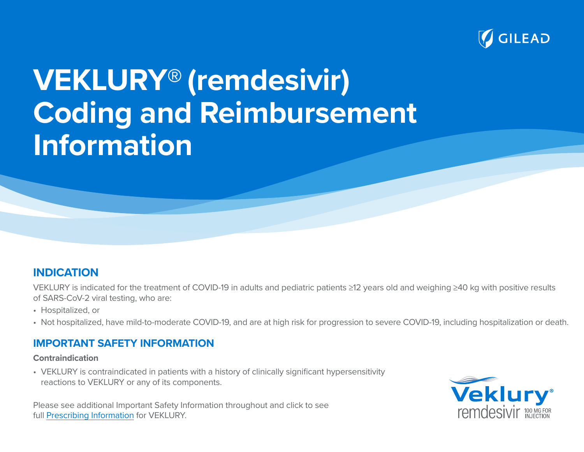

# **VEKLURY® (remdesivir) Coding and Reimbursement Information**

### **INDICATION**

VEKLURY is indicated for the treatment of COVID-19 in adults and pediatric patients ≥12 years old and weighing ≥40 kg with positive results of SARS-CoV-2 viral testing, who are:

- Hospitalized, or
- Not hospitalized, have mild-to-moderate COVID-19, and are at high risk for progression to severe COVID-19, including hospitalization or death.

### **IMPORTANT SAFETY INFORMATION**

#### **Contraindication**

• VEKLURY is contraindicated in patients with a history of clinically significant hypersensitivity reactions to VEKLURY or any of its components.

Please see additional Important Safety Information throughout and click to see full [Prescribing Information](https://www.gilead.com/-/media/files/pdfs/medicines/covid-19/veklury/veklury_pi.pdf) for VEKLURY.

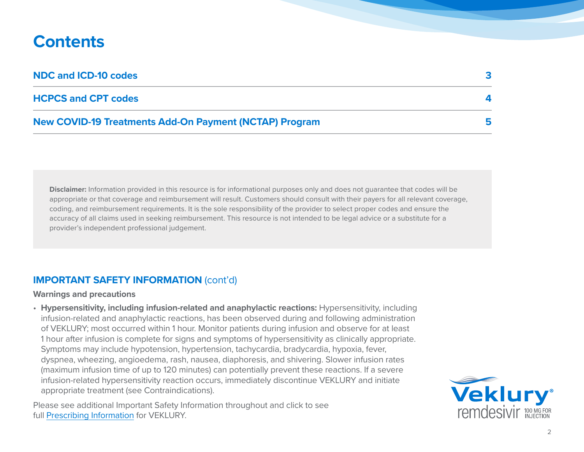# **Contents**

| <b>NDC and ICD-10 codes</b>                                   |  |
|---------------------------------------------------------------|--|
| <b>HCPCS and CPT codes</b>                                    |  |
| <b>New COVID-19 Treatments Add-On Payment (NCTAP) Program</b> |  |

**Disclaimer:** Information provided in this resource is for informational purposes only and does not guarantee that codes will be appropriate or that coverage and reimbursement will result. Customers should consult with their payers for all relevant coverage, coding, and reimbursement requirements. It is the sole responsibility of the provider to select proper codes and ensure the accuracy of all claims used in seeking reimbursement. This resource is not intended to be legal advice or a substitute for a provider's independent professional judgement.

#### **IMPORTANT SAFETY INFORMATION** (cont'd)

#### **Warnings and precautions**

• **Hypersensitivity, including infusion-related and anaphylactic reactions:** Hypersensitivity, including infusion-related and anaphylactic reactions, has been observed during and following administration of VEKLURY; most occurred within 1 hour. Monitor patients during infusion and observe for at least 1 hour after infusion is complete for signs and symptoms of hypersensitivity as clinically appropriate. Symptoms may include hypotension, hypertension, tachycardia, bradycardia, hypoxia, fever, dyspnea, wheezing, angioedema, rash, nausea, diaphoresis, and shivering. Slower infusion rates (maximum infusion time of up to 120 minutes) can potentially prevent these reactions. If a severe infusion-related hypersensitivity reaction occurs, immediately discontinue VEKLURY and initiate appropriate treatment (see Contraindications).

Please see additional Important Safety Information throughout and click to see full [Prescribing Information](https://www.gilead.com/-/media/files/pdfs/medicines/covid-19/veklury/veklury_pi.pdf) for VEKLURY.

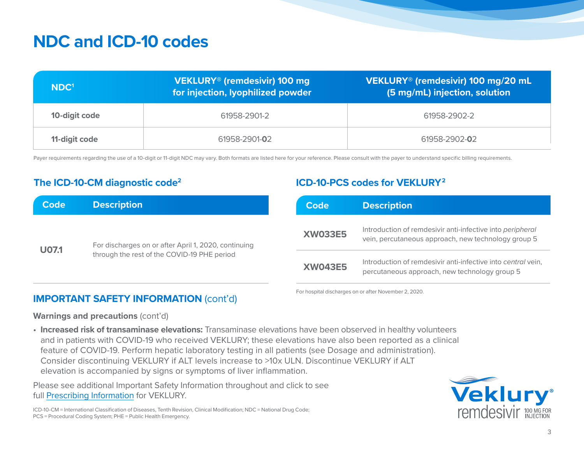# **NDC and ICD-10 codes**

| NDC <sup>1</sup> | VEKLURY® (remdesivir) 100 mg<br>for injection, lyophilized powder | VEKLURY <sup>®</sup> (remdesivir) 100 mg/20 mL<br>$(5 \text{ mg/mL})$ injection, solution |
|------------------|-------------------------------------------------------------------|-------------------------------------------------------------------------------------------|
| 10-digit code    | 61958-2901-2                                                      | 61958-2902-2                                                                              |
| 11-digit code    | 61958-2901-02                                                     | 61958-2902-02                                                                             |

Payer requirements regarding the use of a 10-digit or 11-digit NDC may vary. Both formats are listed here for your reference. Please consult with the payer to understand specific billing requirements.

#### **ICD-10-CM diagnostic code<sup>2</sup> <b>ICD-10-PCS** codes for VEKLURY<sup>2</sup>

| <b>Code</b>  | <b>Description</b>                                                                                  |                | Code                                                                                                             | <b>Description</b>                                                                                            |
|--------------|-----------------------------------------------------------------------------------------------------|----------------|------------------------------------------------------------------------------------------------------------------|---------------------------------------------------------------------------------------------------------------|
| <b>U07.1</b> | For discharges on or after April 1, 2020, continuing<br>through the rest of the COVID-19 PHE period | <b>XW033E5</b> | Introduction of remdesivir anti-infective into peripheral<br>vein, percutaneous approach, new technology group 5 |                                                                                                               |
|              |                                                                                                     |                | <b>XW043E5</b>                                                                                                   | Introduction of remdesivir anti-infective into central vein,<br>percutaneous approach, new technology group 5 |

#### For hospital discharges on or after November 2, 2020.

#### **Warnings and precautions** (cont'd)

**IMPORTANT SAFETY INFORMATION** (cont'd)

• **Increased risk of transaminase elevations:** Transaminase elevations have been observed in healthy volunteers and in patients with COVID-19 who received VEKLURY; these elevations have also been reported as a clinical feature of COVID-19. Perform hepatic laboratory testing in all patients (see Dosage and administration). Consider discontinuing VEKLURY if ALT levels increase to >10x ULN. Discontinue VEKLURY if ALT elevation is accompanied by signs or symptoms of liver inflammation.

Please see additional Important Safety Information throughout and click to see full [Prescribing Information](https://www.gilead.com/-/media/files/pdfs/medicines/covid-19/veklury/veklury_pi.pdf) for VEKLURY.

ICD-10-CM = International Classification of Diseases, Tenth Revision, Clinical Modification; NDC = National Drug Code; PCS = Procedural Coding System; PHE = Public Health Emergency.

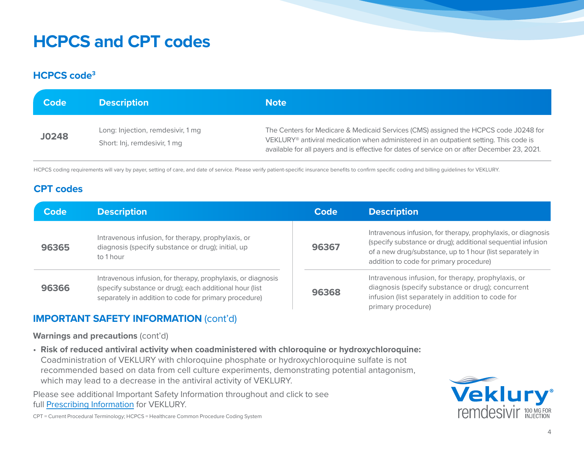# **HCPCS and CPT codes**

#### **HCPCS code3**

| <b>Code</b>  | <b>Description</b>                                                | <b>Note</b>                                                                                                                                                                                                                                                                                 |
|--------------|-------------------------------------------------------------------|---------------------------------------------------------------------------------------------------------------------------------------------------------------------------------------------------------------------------------------------------------------------------------------------|
| <b>J0248</b> | Long: Injection, remdesivir, 1 mg<br>Short: Inj, remdesivir, 1 mg | The Centers for Medicare & Medicaid Services (CMS) assigned the HCPCS code J0248 for<br>VEKLURY <sup>®</sup> antiviral medication when administered in an outpatient setting. This code is<br>available for all payers and is effective for dates of service on or after December 23, 2021. |

HCPCS coding requirements will vary by payer, setting of care, and date of service. Please verify patient-specific insurance benefits to confirm specific coding and billing guidelines for VEKLURY.

#### **CPT codes**

| <b>Code</b>                                                                                                                    | <b>Description</b>                                                                                                                                                               | Code  | <b>Description</b>                                                                                                                                                                                                                  |
|--------------------------------------------------------------------------------------------------------------------------------|----------------------------------------------------------------------------------------------------------------------------------------------------------------------------------|-------|-------------------------------------------------------------------------------------------------------------------------------------------------------------------------------------------------------------------------------------|
| Intravenous infusion, for therapy, prophylaxis, or<br>diagnosis (specify substance or drug); initial, up<br>96365<br>to 1 hour |                                                                                                                                                                                  | 96367 | Intravenous infusion, for therapy, prophylaxis, or diagnosis<br>(specify substance or drug); additional sequential infusion<br>of a new drug/substance, up to 1 hour (list separately in<br>addition to code for primary procedure) |
| 96366                                                                                                                          | Intravenous infusion, for therapy, prophylaxis, or diagnosis<br>(specify substance or drug); each additional hour (list<br>separately in addition to code for primary procedure) | 96368 | Intravenous infusion, for therapy, prophylaxis, or<br>diagnosis (specify substance or drug); concurrent<br>infusion (list separately in addition to code for<br>primary procedure)                                                  |

#### **IMPORTANT SAFETY INFORMATION** (cont'd)

**Warnings and precautions** (cont'd)

• **Risk of reduced antiviral activity when coadministered with chloroquine or hydroxychloroquine:** Coadministration of VEKLURY with chloroquine phosphate or hydroxychloroquine sulfate is not recommended based on data from cell culture experiments, demonstrating potential antagonism, which may lead to a decrease in the antiviral activity of VEKLURY.

Please see additional Important Safety Information throughout and click to see full [Prescribing Information](https://www.gilead.com/-/media/files/pdfs/medicines/covid-19/veklury/veklury_pi.pdf) for VEKLURY.



CPT = Current Procedural Terminology; HCPCS = Healthcare Common Procedure Coding System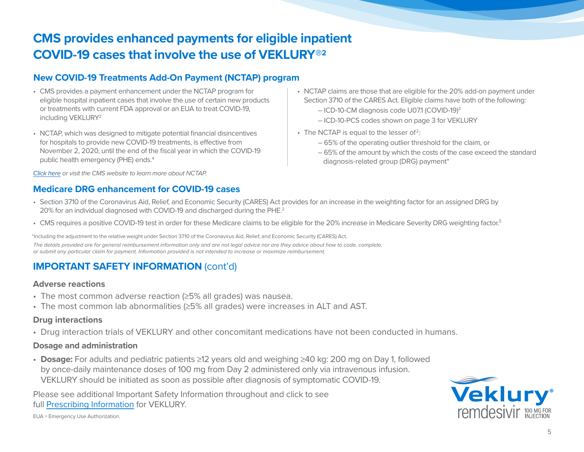## **CMS provides enhanced payments for eligible inpatient COVID-19 cases that involve the use of VEKLURY®2**

#### **New COVID-19 Treatments Add-On Payment (NCTAP) program**

- CMS provides a payment enhancement under the NCTAP program for eligible hospital inpatient cases that involve the use of certain new products or treatments with current FDA approval or an EUA to treat COVID-19, including VEKLURY2
- NCTAP, which was designed to mitigate potential financial disincentives for hospitals to provide new COVID-19 treatments, is effective from November 2, 2020, until the end of the fiscal year in which the COVID-19 public health emergency (PHE) ends.4

*[Click here](https://www.cms.gov/medicare/covid-19/new-covid-19-treatments-add-payment-nctap) or visit the CMS website to learn more about NCTAP.*

#### **Medicare DRG enhancement for COVID-19 cases**

- NCTAP claims are those that are eligible for the 20% add-on payment under Section 3710 of the CARES Act. Eligible claims have both of the following:
	- ICD-10-CM diagnosis code U07.1 (COVID-19)2
	- ICD-10-PCS codes shown on page 3 for VEKLURY
- The NCTAP is equal to the lesser of<sup>2</sup>:
	- 65% of the operating outlier threshold for the claim, or
	- 65% of the amount by which the costs of the case exceed the standard diagnosis-related group (DRG) payment\*
- Section 3710 of the Coronavirus Aid, Relief, and Economic Security (CARES) Act provides for an increase in the weighting factor for an assigned DRG by 20% for an individual diagnosed with COVID-19 and discharged during the PHE.2
- CMS requires a positive COVID-19 test in order for these Medicare claims to be eligible for the 20% increase in Medicare Severity DRG weighting factor.<sup>5</sup>

\*Including the adjustment to the relative weight under Section 3710 of the Coronavirus Aid, Relief, and Economic Security (CARES) Act. *The details provided are for general reimbursement information only and are not legal advice nor are they advice about how to code, complete, or submit any particular claim for payment. Information provided is not intended to increase or maximize reimbursement.*

#### **IMPORTANT SAFETY INFORMATION** (cont'd)

#### **Adverse reactions**

- The most common adverse reaction (≥5% all grades) was nausea.
- The most common lab abnormalities (≥5% all grades) were increases in ALT and AST.

#### **Drug interactions**

• Drug interaction trials of VEKLURY and other concomitant medications have not been conducted in humans.

#### **Dosage and administration**

• **Dosage:** For adults and pediatric patients ≥12 years old and weighing ≥40 kg: 200 mg on Day 1, followed by once-daily maintenance doses of 100 mg from Day 2 administered only via intravenous infusion. VEKLURY should be initiated as soon as possible after diagnosis of symptomatic COVID-19.

Please see additional Important Safety Information throughout and click to see full [Prescribing Information](https://www.gilead.com/-/media/files/pdfs/medicines/covid-19/veklury/veklury_pi.pdf) for VEKLURY.



EUA = Emergency Use Authorization.